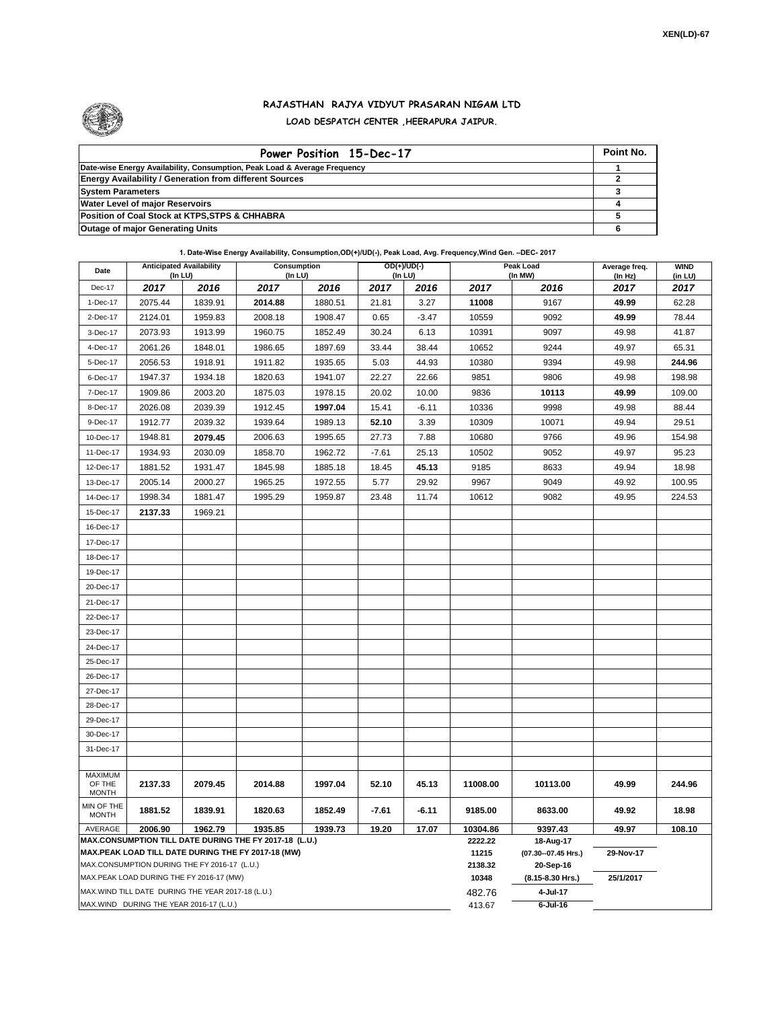

## **RAJASTHAN RAJYA VIDYUT PRASARAN NIGAM LTD LOAD DESPATCH CENTER ,HEERAPURA JAIPUR.**

| Power Position 15-Dec-17                                                  | Point No. |
|---------------------------------------------------------------------------|-----------|
| Date-wise Energy Availability, Consumption, Peak Load & Average Frequency |           |
| <b>Energy Availability / Generation from different Sources</b>            |           |
| <b>System Parameters</b>                                                  |           |
| <b>Water Level of major Reservoirs</b>                                    |           |
| Position of Coal Stock at KTPS, STPS & CHHABRA                            |           |
| <b>Outage of major Generating Units</b>                                   |           |

**1. Date-Wise Energy Availability, Consumption,OD(+)/UD(-), Peak Load, Avg. Frequency,Wind Gen. –DEC- 2017**

| Date                                                                                               | <b>Anticipated Availability</b><br>(In LU)        |         | Consumption<br>(In LU)                                 |         | OD(+)/UD(-)<br>$($ In LU $)$ |                  |                                  | Peak Load<br>(In MW) | Average freq.<br>(In Hz) | <b>WIND</b><br>(in LU) |  |
|----------------------------------------------------------------------------------------------------|---------------------------------------------------|---------|--------------------------------------------------------|---------|------------------------------|------------------|----------------------------------|----------------------|--------------------------|------------------------|--|
| Dec-17                                                                                             | 2017                                              | 2016    | 2017                                                   | 2016    | 2017                         | 2016             | 2017                             | 2016                 | 2017                     | 2017                   |  |
| 1-Dec-17                                                                                           | 2075.44                                           | 1839.91 | 2014.88                                                | 1880.51 | 21.81                        | 3.27             | 11008                            | 9167                 | 49.99                    | 62.28                  |  |
| 2-Dec-17                                                                                           | 2124.01                                           | 1959.83 | 2008.18                                                | 1908.47 | 0.65                         | $-3.47$          | 10559                            | 9092                 | 49.99                    | 78.44                  |  |
| 3-Dec-17                                                                                           | 2073.93                                           | 1913.99 | 1960.75                                                | 1852.49 | 30.24                        | 6.13             | 10391                            | 9097                 | 49.98                    | 41.87                  |  |
| 4-Dec-17                                                                                           | 2061.26                                           | 1848.01 | 1986.65                                                | 1897.69 | 33.44                        | 38.44            | 10652                            | 9244                 | 49.97                    | 65.31                  |  |
| 5-Dec-17                                                                                           | 2056.53                                           | 1918.91 | 1911.82                                                | 1935.65 | 5.03                         | 44.93            | 10380                            | 9394                 | 49.98                    | 244.96                 |  |
| 6-Dec-17                                                                                           | 1947.37                                           | 1934.18 | 1820.63                                                | 1941.07 | 22.27                        | 22.66            | 9851                             | 9806                 | 49.98                    | 198.98                 |  |
| 7-Dec-17                                                                                           | 1909.86                                           | 2003.20 | 1875.03                                                | 1978.15 | 20.02                        | 10.00            | 9836                             | 10113                | 49.99                    | 109.00                 |  |
| 8-Dec-17                                                                                           | 2026.08                                           | 2039.39 | 1912.45                                                | 1997.04 | 15.41                        | $-6.11$          | 10336                            | 9998                 | 49.98                    | 88.44                  |  |
| 9-Dec-17                                                                                           | 1912.77                                           | 2039.32 | 1939.64                                                | 1989.13 | 52.10                        | 3.39             | 10309                            | 10071                | 49.94                    | 29.51                  |  |
| 10-Dec-17                                                                                          | 1948.81                                           | 2079.45 | 2006.63                                                | 1995.65 | 27.73                        | 7.88             | 10680                            | 9766                 | 49.96                    | 154.98                 |  |
| 11-Dec-17                                                                                          | 1934.93                                           | 2030.09 | 1858.70                                                | 1962.72 | $-7.61$                      | 25.13            | 10502                            | 9052                 | 49.97                    | 95.23                  |  |
| 12-Dec-17                                                                                          | 1881.52                                           | 1931.47 | 1845.98                                                | 1885.18 | 18.45                        | 45.13            | 9185                             | 8633                 | 49.94                    | 18.98                  |  |
| 13-Dec-17                                                                                          | 2005.14                                           | 2000.27 | 1965.25                                                | 1972.55 | 5.77                         | 29.92            | 9967                             | 9049                 | 49.92                    | 100.95                 |  |
| 14-Dec-17                                                                                          | 1998.34                                           | 1881.47 | 1995.29                                                | 1959.87 | 23.48                        | 11.74            | 10612                            | 9082                 | 49.95                    | 224.53                 |  |
| 15-Dec-17                                                                                          | 2137.33                                           | 1969.21 |                                                        |         |                              |                  |                                  |                      |                          |                        |  |
| 16-Dec-17                                                                                          |                                                   |         |                                                        |         |                              |                  |                                  |                      |                          |                        |  |
| 17-Dec-17                                                                                          |                                                   |         |                                                        |         |                              |                  |                                  |                      |                          |                        |  |
| 18-Dec-17                                                                                          |                                                   |         |                                                        |         |                              |                  |                                  |                      |                          |                        |  |
| 19-Dec-17                                                                                          |                                                   |         |                                                        |         |                              |                  |                                  |                      |                          |                        |  |
| 20-Dec-17                                                                                          |                                                   |         |                                                        |         |                              |                  |                                  |                      |                          |                        |  |
| 21-Dec-17                                                                                          |                                                   |         |                                                        |         |                              |                  |                                  |                      |                          |                        |  |
| 22-Dec-17                                                                                          |                                                   |         |                                                        |         |                              |                  |                                  |                      |                          |                        |  |
| 23-Dec-17                                                                                          |                                                   |         |                                                        |         |                              |                  |                                  |                      |                          |                        |  |
| 24-Dec-17                                                                                          |                                                   |         |                                                        |         |                              |                  |                                  |                      |                          |                        |  |
| 25-Dec-17                                                                                          |                                                   |         |                                                        |         |                              |                  |                                  |                      |                          |                        |  |
| 26-Dec-17                                                                                          |                                                   |         |                                                        |         |                              |                  |                                  |                      |                          |                        |  |
| 27-Dec-17                                                                                          |                                                   |         |                                                        |         |                              |                  |                                  |                      |                          |                        |  |
| 28-Dec-17                                                                                          |                                                   |         |                                                        |         |                              |                  |                                  |                      |                          |                        |  |
| 29-Dec-17                                                                                          |                                                   |         |                                                        |         |                              |                  |                                  |                      |                          |                        |  |
| 30-Dec-17                                                                                          |                                                   |         |                                                        |         |                              |                  |                                  |                      |                          |                        |  |
| 31-Dec-17                                                                                          |                                                   |         |                                                        |         |                              |                  |                                  |                      |                          |                        |  |
| <b>MAXIMUM</b>                                                                                     |                                                   |         |                                                        |         |                              |                  |                                  |                      |                          |                        |  |
| OF THE<br><b>MONTH</b>                                                                             | 2137.33                                           | 2079.45 | 2014.88                                                | 1997.04 | 52.10                        | 45.13            | 11008.00                         | 10113.00             | 49.99                    | 244.96                 |  |
| MIN OF THE<br><b>MONTH</b>                                                                         | 1881.52                                           | 1839.91 | 1820.63                                                | 1852.49 | $-7.61$                      | $-6.11$          | 9185.00                          | 8633.00              | 49.92                    | 18.98                  |  |
| AVERAGE                                                                                            | 2006.90                                           | 1962.79 | 1935.85                                                | 1939.73 | 19.20                        | 17.07            | 10304.86                         | 9397.43              | 49.97                    | 108.10                 |  |
|                                                                                                    |                                                   |         | MAX.CONSUMPTION TILL DATE DURING THE FY 2017-18 (L.U.) |         |                              |                  | 2222.22                          | 18-Aug-17            |                          |                        |  |
| MAX.PEAK LOAD TILL DATE DURING THE FY 2017-18 (MW)<br>MAX.CONSUMPTION DURING THE FY 2016-17 (L.U.) |                                                   |         |                                                        |         |                              | 11215<br>2138.32 | (07.30--07.45 Hrs.)<br>20-Sep-16 | 29-Nov-17            |                          |                        |  |
|                                                                                                    | MAX.PEAK LOAD DURING THE FY 2016-17 (MW)          |         |                                                        |         |                              |                  | 10348                            | (8.15-8.30 Hrs.)     | 25/1/2017                |                        |  |
|                                                                                                    | MAX.WIND TILL DATE DURING THE YEAR 2017-18 (L.U.) |         |                                                        |         |                              |                  | 482.76                           | 4-Jul-17             |                          |                        |  |
| MAX.WIND DURING THE YEAR 2016-17 (L.U.)                                                            |                                                   |         |                                                        |         |                              | 413.67           | $6$ -Jul-16                      |                      |                          |                        |  |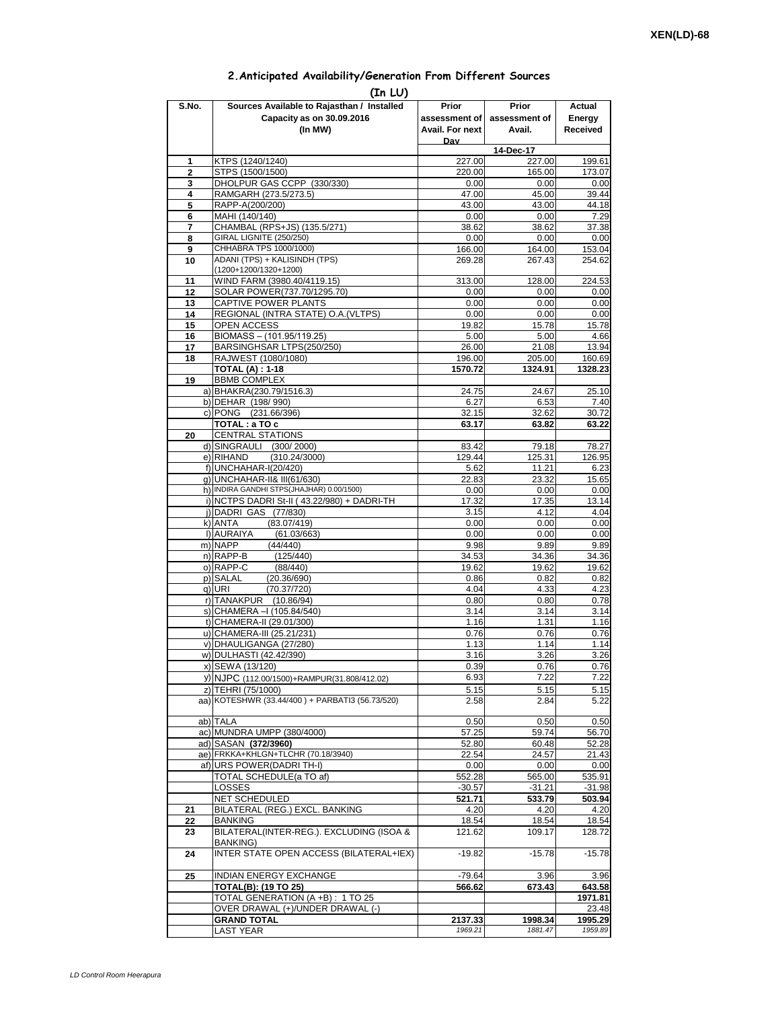## **2.Anticipated Availability/Generation From Different Sources**

|                     | (In LU)                                                                            |                                           |                                  |                              |
|---------------------|------------------------------------------------------------------------------------|-------------------------------------------|----------------------------------|------------------------------|
| S.No.               | Sources Available to Rajasthan / Installed<br>Capacity as on 30.09.2016<br>(In MW) | Prior<br>assessment of<br>Avail. For next | Prior<br>assessment of<br>Avail. | Actual<br>Energy<br>Received |
|                     |                                                                                    | Dav                                       |                                  |                              |
|                     |                                                                                    |                                           | 14-Dec-17                        |                              |
| 1                   | KTPS (1240/1240)                                                                   | 227.00<br>220.00                          | 227.00                           | 199.61                       |
| $\overline{2}$<br>3 | STPS (1500/1500)<br>DHOLPUR GAS CCPP (330/330)                                     | 0.00                                      | 165.00<br>0.00                   | 173.07<br>0.00               |
| 4                   | RAMGARH (273.5/273.5)                                                              | 47.00                                     | 45.00                            | 39.44                        |
| 5                   | RAPP-A(200/200)                                                                    | 43.00                                     | 43.00                            | 44.18                        |
| 6                   | MAHI (140/140)                                                                     | 0.00                                      | 0.00                             | 7.29                         |
| 7                   | CHAMBAL (RPS+JS) (135.5/271)<br>GIRAL LIGNITE (250/250)                            | 38.62                                     | 38.62                            | 37.38                        |
| 8<br>9              | CHHABRA TPS 1000/1000)                                                             | 0.00<br>166.00                            | 0.00<br>164.00                   | 0.00<br>153.04               |
| 10                  | ADANI (TPS) + KALISINDH (TPS)                                                      | 269.28                                    | 267.43                           | 254.62                       |
|                     | (1200+1200/1320+1200)                                                              |                                           |                                  |                              |
| 11                  | WIND FARM (3980.40/4119.15)                                                        | 313.00                                    | 128.00                           | 224.53                       |
| 12                  | SOLAR POWER(737.70/1295.70)                                                        | 0.00                                      | 0.00                             | 0.00                         |
| 13<br>14            | CAPTIVE POWER PLANTS<br>REGIONAL (INTRA STATE) O.A. (VLTPS)                        | 0.00<br>0.00                              | 0.00<br>0.00                     | 0.00<br>0.00                 |
| 15                  | <b>OPEN ACCESS</b>                                                                 | 19.82                                     | 15.78                            | 15.78                        |
| 16                  | BIOMASS - (101.95/119.25)                                                          | 5.00                                      | 5.00                             | 4.66                         |
| 17                  | BARSINGHSAR LTPS(250/250)                                                          | 26.00                                     | 21.08                            | 13.94                        |
| 18                  | RAJWEST (1080/1080)                                                                | 196.00                                    | 205.00                           | 160.69                       |
|                     | <b>TOTAL (A): 1-18</b>                                                             | 1570.72                                   | 1324.91                          | 1328.23                      |
| 19                  | <b>BBMB COMPLEX</b><br>a) BHAKRA(230.79/1516.3)                                    | 24.75                                     | 24.67                            | 25.10                        |
|                     | b) DEHAR (198/990)                                                                 | 6.27                                      | 6.53                             | 7.40                         |
|                     | c) PONG (231.66/396)                                                               | 32.15                                     | 32.62                            | 30.72                        |
|                     | TOTAL: a TO c                                                                      | 63.17                                     | 63.82                            | 63.22                        |
| 20                  | <b>CENTRAL STATIONS</b>                                                            |                                           |                                  |                              |
|                     | d) SINGRAULI (300/2000)<br>e) RIHAND<br>(310.24/3000)                              | 83.42<br>129.44                           | 79.18<br>125.31                  | 78.27<br>126.95              |
|                     | f) UNCHAHAR-I(20/420)                                                              | 5.62                                      | 11.21                            | 6.23                         |
|                     | g) UNCHAHAR-II& III(61/630)                                                        | 22.83                                     | 23.32                            | 15.65                        |
|                     | h) INDIRA GANDHI STPS(JHAJHAR) 0.00/1500)                                          | 0.00                                      | 0.00                             | 0.00                         |
|                     | i) NCTPS DADRI St-II (43.22/980) + DADRI-TH                                        | 17.32                                     | 17.35                            | 13.14                        |
|                     | j) DADRI GAS (77/830)<br>k) ANTA<br>(83.07/419)                                    | 3.15<br>0.00                              | 4.12<br>0.00                     | 4.04<br>0.00                 |
|                     | I) AURAIYA<br>(61.03/663)                                                          | 0.00                                      | 0.00                             | 0.00                         |
|                     | m) NAPP<br>(44/440)                                                                | 9.98                                      | 9.89                             | 9.89                         |
|                     | n) RAPP-B<br>(125/440)                                                             | 34.53                                     | 34.36                            | 34.36                        |
|                     | o) RAPP-C<br>(88/440)                                                              | 19.62                                     | 19.62                            | 19.62                        |
|                     | p) SALAL<br>(20.36/690)<br>q) URI<br>(70.37/720)                                   | 0.86<br>4.04                              | 0.82<br>4.33                     | 0.82<br>4.23                 |
|                     | r) TANAKPUR<br>(10.86/94)                                                          | 0.80                                      | 0.80                             | 0.78                         |
|                     | s) CHAMERA - (105.84/540)                                                          | 3.14                                      | 3.14                             | 3.14                         |
|                     | t) CHAMERA-II (29.01/300)                                                          | 1.16                                      | 1.31                             | 1.16                         |
|                     | u) CHAMERA-III (25.21/231)                                                         | 0.76                                      | 0.76                             | 0.76                         |
|                     | v) DHAULIGANGA (27/280)                                                            | 1.13                                      | 1.14<br>3.26                     | 1.14<br>3.26                 |
|                     | w) DULHASTI (42.42/390)<br>x) SEWA (13/120)                                        | 3.16<br>0.39                              | 0.76                             | 0.76                         |
|                     | y) NJPC (112.00/1500)+RAMPUR(31.808/412.02)                                        | 6.93                                      | 7.22                             | 7.22                         |
|                     | z) TEHRI (75/1000)                                                                 | 5.15                                      | 5.15                             | 5.15                         |
|                     | aa) KOTESHWR (33.44/400) + PARBATI3 (56.73/520)                                    | 2.58                                      | 2.84                             | 5.22                         |
|                     |                                                                                    |                                           |                                  |                              |
|                     | ab) TALA<br>ac) MUNDRA UMPP (380/4000)                                             | 0.50<br>57.25                             | 0.50<br>59.74                    | 0.50<br>56.70                |
|                     | ad) SASAN (372/3960)                                                               | 52.80                                     | 60.48                            | 52.28                        |
|                     | ae) FRKKA+KHLGN+TLCHR (70.18/3940)                                                 | 22.54                                     | 24.57                            | 21.43                        |
|                     | af) URS POWER(DADRITH-I)                                                           | 0.00                                      | 0.00                             | 0.00                         |
|                     | TOTAL SCHEDULE(a TO af)                                                            | 552.28                                    | 565.00                           | 535.91                       |
|                     | LOSSES<br>NET SCHEDULED                                                            | $-30.57$<br>521.71                        | $-31.21$<br>533.79               | $-31.98$<br>503.94           |
| 21                  | BILATERAL (REG.) EXCL. BANKING                                                     | 4.20                                      | 4.20                             | 4.20                         |
| 22                  | <b>BANKING</b>                                                                     | 18.54                                     | 18.54                            | 18.54                        |
| 23                  | BILATERAL(INTER-REG.). EXCLUDING (ISOA &                                           | 121.62                                    | 109.17                           | 128.72                       |
| 24                  | BANKING)<br>INTER STATE OPEN ACCESS (BILATERAL+IEX)                                | $-19.82$                                  | $-15.78$                         | $-15.78$                     |
| 25                  |                                                                                    |                                           |                                  |                              |
|                     | INDIAN ENERGY EXCHANGE<br><b>TOTAL(B): (19 TO 25)</b>                              | $-79.64$<br>566.62                        | 3.96<br>673.43                   | 3.96<br>643.58               |
|                     | TOTAL GENERATION (A +B) : 1 TO 25                                                  |                                           |                                  | 1971.81                      |
|                     | OVER DRAWAL (+)/UNDER DRAWAL (-)                                                   |                                           |                                  | 23.48                        |
|                     | <b>GRAND TOTAL</b>                                                                 | 2137.33                                   | 1998.34                          | 1995.29                      |
|                     | <b>LAST YEAR</b>                                                                   | 1969.21                                   | 1881.47                          | 1959.89                      |